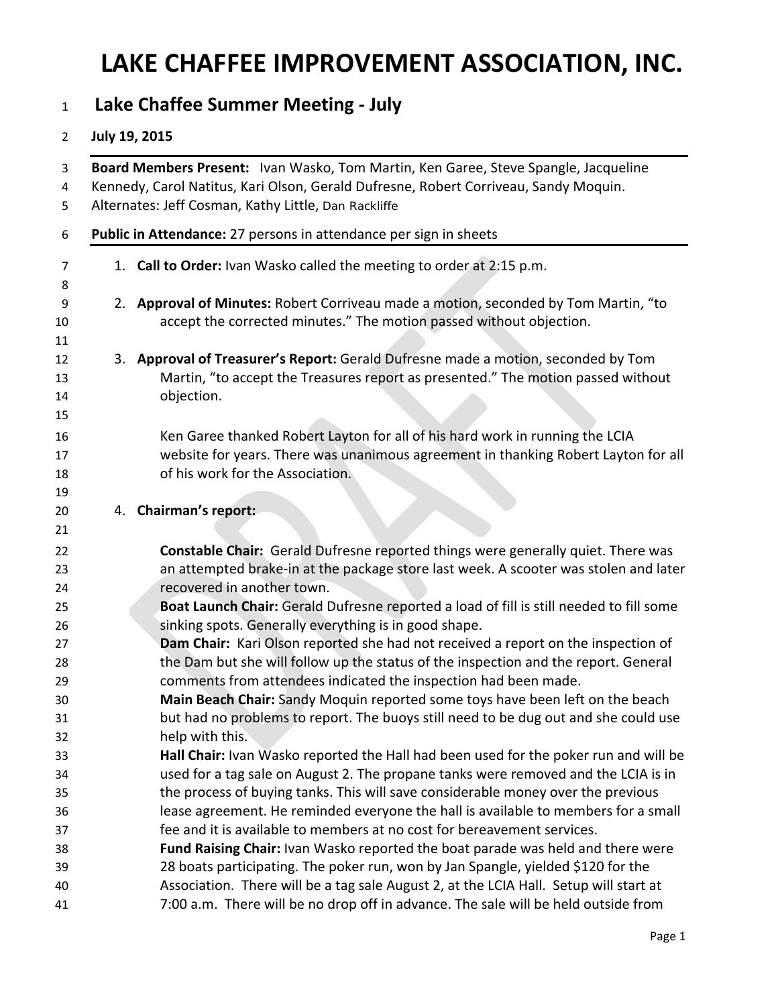## **LAKE CHAFFEE IMPROVEMENT ASSOCIATION, INC.**

### **Lake Chaffee Summer Meeting ‐ July**

#### **July 19, 2015**

| 3<br>4<br>5                |                                                                   | Board Members Present: Ivan Wasko, Tom Martin, Ken Garee, Steve Spangle, Jacqueline<br>Kennedy, Carol Natitus, Kari Olson, Gerald Dufresne, Robert Corriveau, Sandy Moquin.<br>Alternates: Jeff Cosman, Kathy Little, Dan Rackliffe                                                                                                                        |  |  |  |  |  |  |  |  |  |
|----------------------------|-------------------------------------------------------------------|------------------------------------------------------------------------------------------------------------------------------------------------------------------------------------------------------------------------------------------------------------------------------------------------------------------------------------------------------------|--|--|--|--|--|--|--|--|--|
| 6                          | Public in Attendance: 27 persons in attendance per sign in sheets |                                                                                                                                                                                                                                                                                                                                                            |  |  |  |  |  |  |  |  |  |
| 7<br>8                     |                                                                   | 1. Call to Order: Ivan Wasko called the meeting to order at 2:15 p.m.                                                                                                                                                                                                                                                                                      |  |  |  |  |  |  |  |  |  |
| 9<br>10<br>11              |                                                                   | 2. Approval of Minutes: Robert Corriveau made a motion, seconded by Tom Martin, "to<br>accept the corrected minutes." The motion passed without objection.                                                                                                                                                                                                 |  |  |  |  |  |  |  |  |  |
| 12<br>13<br>14<br>15       |                                                                   | 3. Approval of Treasurer's Report: Gerald Dufresne made a motion, seconded by Tom<br>Martin, "to accept the Treasures report as presented." The motion passed without<br>objection.                                                                                                                                                                        |  |  |  |  |  |  |  |  |  |
| 16<br>17<br>18<br>19       |                                                                   | Ken Garee thanked Robert Layton for all of his hard work in running the LCIA<br>website for years. There was unanimous agreement in thanking Robert Layton for all<br>of his work for the Association.                                                                                                                                                     |  |  |  |  |  |  |  |  |  |
| 20<br>21                   |                                                                   | 4. Chairman's report:                                                                                                                                                                                                                                                                                                                                      |  |  |  |  |  |  |  |  |  |
| 22<br>23<br>24<br>25<br>26 |                                                                   | Constable Chair: Gerald Dufresne reported things were generally quiet. There was<br>an attempted brake-in at the package store last week. A scooter was stolen and later<br>recovered in another town.<br>Boat Launch Chair: Gerald Dufresne reported a load of fill is still needed to fill some<br>sinking spots. Generally everything is in good shape. |  |  |  |  |  |  |  |  |  |
| 27<br>28<br>29             |                                                                   | Dam Chair: Kari Olson reported she had not received a report on the inspection of<br>the Dam but she will follow up the status of the inspection and the report. General<br>comments from attendees indicated the inspection had been made.                                                                                                                |  |  |  |  |  |  |  |  |  |
| 30<br>31<br>32             |                                                                   | Main Beach Chair: Sandy Moquin reported some toys have been left on the beach<br>but had no problems to report. The buoys still need to be dug out and she could use<br>help with this.                                                                                                                                                                    |  |  |  |  |  |  |  |  |  |
| 33                         |                                                                   | Hall Chair: Ivan Wasko reported the Hall had been used for the poker run and will be                                                                                                                                                                                                                                                                       |  |  |  |  |  |  |  |  |  |
| 34<br>35                   |                                                                   | used for a tag sale on August 2. The propane tanks were removed and the LCIA is in<br>the process of buying tanks. This will save considerable money over the previous                                                                                                                                                                                     |  |  |  |  |  |  |  |  |  |
| 36                         |                                                                   | lease agreement. He reminded everyone the hall is available to members for a small                                                                                                                                                                                                                                                                         |  |  |  |  |  |  |  |  |  |
| 37                         |                                                                   | fee and it is available to members at no cost for bereavement services.                                                                                                                                                                                                                                                                                    |  |  |  |  |  |  |  |  |  |
| 38                         |                                                                   | Fund Raising Chair: Ivan Wasko reported the boat parade was held and there were                                                                                                                                                                                                                                                                            |  |  |  |  |  |  |  |  |  |
| 39<br>40                   |                                                                   | 28 boats participating. The poker run, won by Jan Spangle, yielded \$120 for the<br>Association. There will be a tag sale August 2, at the LCIA Hall. Setup will start at                                                                                                                                                                                  |  |  |  |  |  |  |  |  |  |
| 41                         |                                                                   | 7:00 a.m. There will be no drop off in advance. The sale will be held outside from                                                                                                                                                                                                                                                                         |  |  |  |  |  |  |  |  |  |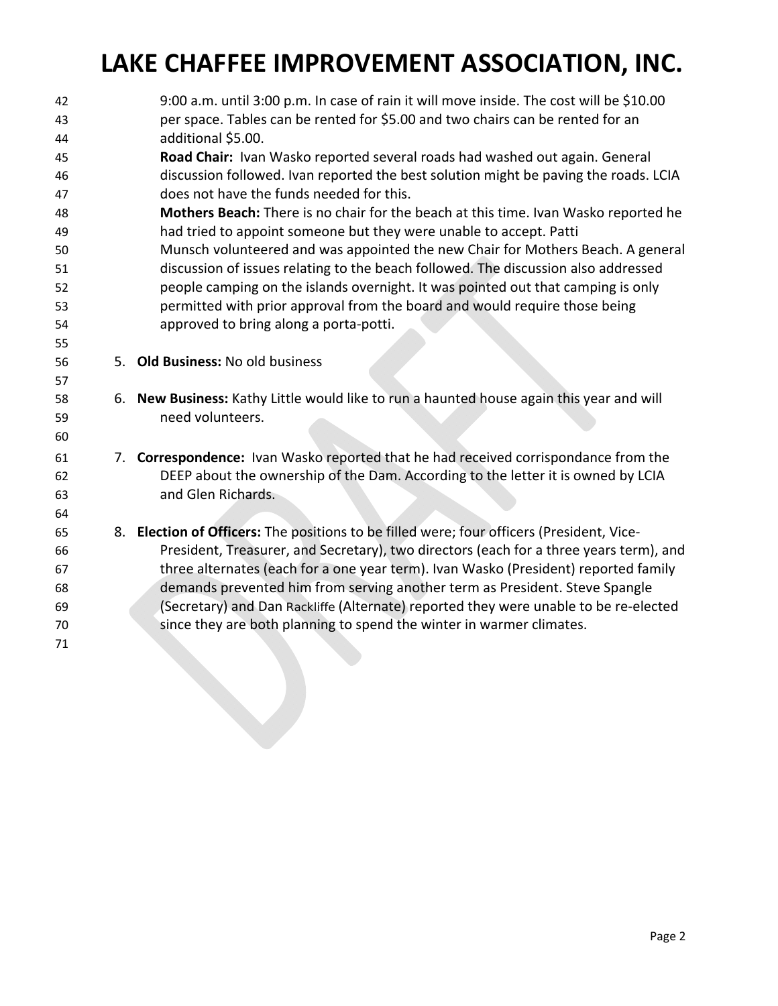# **LAKE CHAFFEE IMPROVEMENT ASSOCIATION, INC.**

 9:00 a.m. until 3:00 p.m. In case of rain it will move inside. The cost will be \$10.00 per space. Tables can be rented for \$5.00 and two chairs can be rented for an additional \$5.00. **Road Chair:** Ivan Wasko reported several roads had washed out again. General discussion followed. Ivan reported the best solution might be paving the roads. LCIA does not have the funds needed for this. **Mothers Beach:** There is no chair for the beach at this time. Ivan Wasko reported he had tried to appoint someone but they were unable to accept. Patti Munsch volunteered and was appointed the new Chair for Mothers Beach. A general discussion of issues relating to the beach followed. The discussion also addressed people camping on the islands overnight. It was pointed out that camping is only permitted with prior approval from the board and would require those being approved to bring along a porta‐potti. 5. **Old Business:** No old business 6. **New Business:** Kathy Little would like to run a haunted house again this year and will need volunteers. 7. **Correspondence:** Ivan Wasko reported that he had received corrispondance from the DEEP about the ownership of the Dam. According to the letter it is owned by LCIA and Glen Richards. 8. **Election of Officers:** The positions to be filled were; four officers (President, Vice‐ President, Treasurer, and Secretary), two directors (each for a three years term), and three alternates (each for a one year term). Ivan Wasko (President) reported family demands prevented him from serving another term as President. Steve Spangle (Secretary) and Dan Rackliffe (Alternate) reported they were unable to be re‐elected since they are both planning to spend the winter in warmer climates.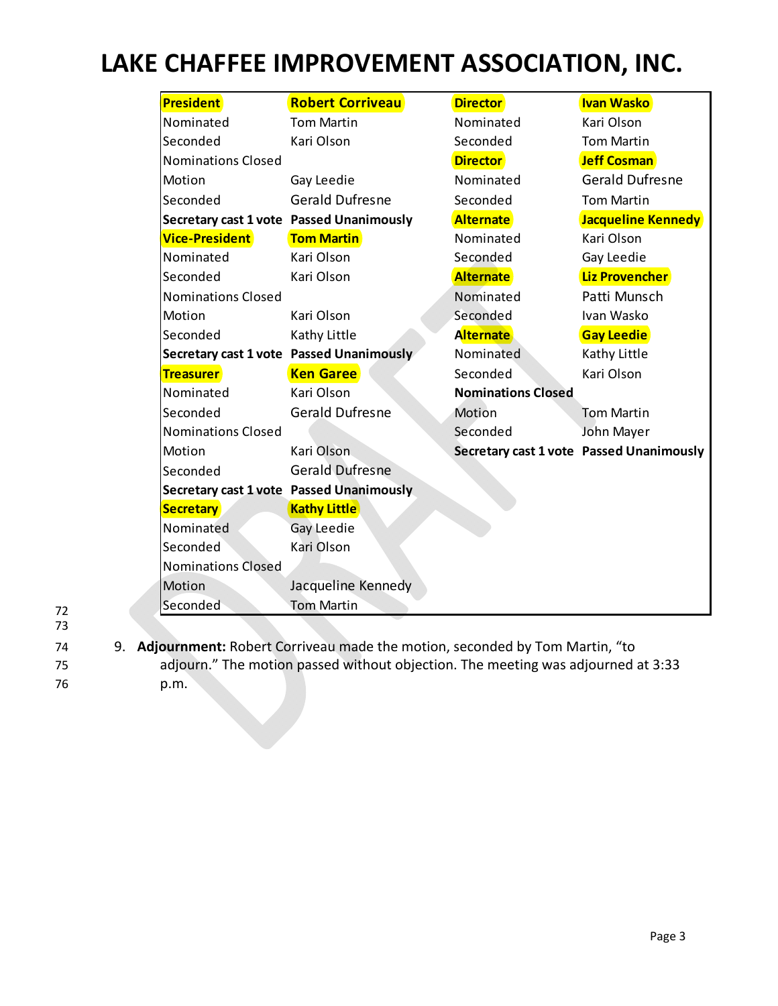### **LAKE CHAFFEE IMPROVEMENT ASSOCIATION, INC.**

|    | <b>President</b>          | <b>Robert Corriveau</b>                  | <b>Director</b>           | <b>Ivan Wasko</b>                        |
|----|---------------------------|------------------------------------------|---------------------------|------------------------------------------|
|    | Nominated                 | <b>Tom Martin</b>                        | Nominated                 | Kari Olson                               |
|    | Seconded                  | Kari Olson                               | Seconded                  | <b>Tom Martin</b>                        |
|    | <b>Nominations Closed</b> |                                          | <b>Director</b>           | <b>Jeff Cosman</b>                       |
|    | Motion                    | Gay Leedie                               | Nominated                 | <b>Gerald Dufresne</b>                   |
|    | Seconded                  | <b>Gerald Dufresne</b>                   | Seconded                  | <b>Tom Martin</b>                        |
|    |                           | Secretary cast 1 vote Passed Unanimously | <b>Alternate</b>          | Jacqueline Kennedy                       |
|    | <b>Vice-President</b>     | <b>Tom Martin</b>                        | Nominated                 | Kari Olson                               |
|    | Nominated                 | Kari Olson                               | Seconded                  | Gay Leedie                               |
|    | Seconded                  | Kari Olson                               | <b>Alternate</b>          | Liz Provencher                           |
|    | <b>Nominations Closed</b> |                                          | Nominated                 | Patti Munsch                             |
|    | Motion                    | Kari Olson                               | Seconded                  | Ivan Wasko                               |
|    | Seconded                  | Kathy Little                             | <b>Alternate</b>          | <b>Gay Leedie</b>                        |
|    |                           | Secretary cast 1 vote Passed Unanimously | Nominated                 | Kathy Little                             |
|    | <b>Treasurer</b>          | <b>Ken Garee</b>                         | Seconded                  | Kari Olson                               |
|    | Nominated                 | Kari Olson                               | <b>Nominations Closed</b> |                                          |
|    | Seconded                  | <b>Gerald Dufresne</b>                   | Motion                    | <b>Tom Martin</b>                        |
|    | <b>Nominations Closed</b> |                                          | Seconded                  | John Mayer                               |
|    | Motion                    | Kari Olson                               |                           | Secretary cast 1 vote Passed Unanimously |
|    | Seconded                  | <b>Gerald Dufresne</b>                   |                           |                                          |
|    |                           | Secretary cast 1 vote Passed Unanimously |                           |                                          |
|    | <b>Secretary</b>          | <b>Kathy Little</b>                      |                           |                                          |
|    | Nominated                 | Gay Leedie                               |                           |                                          |
|    | Seconded                  | Kari Olson                               |                           |                                          |
|    | <b>Nominations Closed</b> |                                          |                           |                                          |
|    | <b>Motion</b>             | Jacqueline Kennedy                       |                           |                                          |
| 72 | Seconded                  | <b>Tom Martin</b>                        |                           |                                          |
|    |                           |                                          |                           |                                          |

- 73
- 74 9. **Adjournment:** Robert Corriveau made the motion, seconded by Tom Martin, "to 75 adjourn." The motion passed without objection. The meeting was adjourned at 3:33 76 p.m.